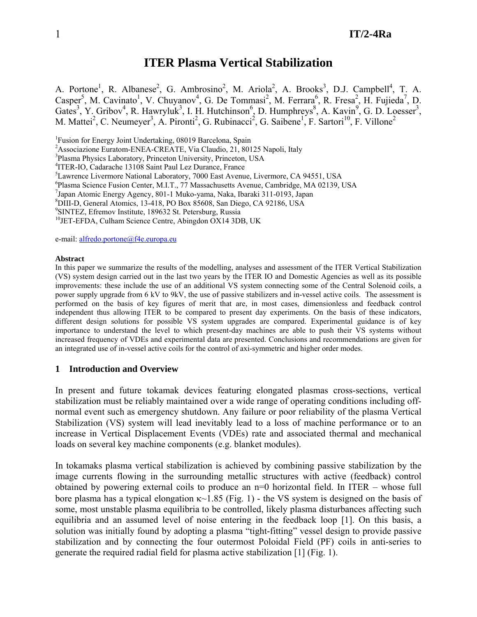# **ITER Plasma Vertical Stabilization**

A. Portone<sup>1</sup>, R. Albanese<sup>2</sup>, G. Ambrosino<sup>2</sup>, M. Ariola<sup>2</sup>, A. Brooks<sup>3</sup>, D.J. Campbell<sup>4</sup>, T. A. Casper<sup>5</sup>, M. Cavinato<sup>1</sup>, V. Chuyanov<sup>4</sup>, G. De Tommasi<sup>2</sup>, M. Ferrara<sup>6</sup>, R. Fresa<sup>2</sup>, H. Fujieda<sup>7</sup>, D. Gates<sup>3</sup>, Y. Gribov<sup>4</sup>, R. Hawryluk<sup>3</sup>, I. H. Hutchinson<sup>6</sup>, D. Humphreys<sup>8</sup>, A. Kavin<sup>9</sup>, G. D. Loesser<sup>3</sup>, M. Mattei<sup>2</sup>, C. Neumeyer<sup>3</sup>, A. Pironti<sup>2</sup>, G. Rubinacci<sup>2</sup>, G. Saibene<sup>1</sup>, F. Sartori<sup>10</sup>, F. Villone<sup>2</sup>

<sup>1</sup>Fusion for Energy Joint Undertaking, 08019 Barcelona, Spain

<sup>2</sup> Associazione Euratom-ENEA-CREATE, Via Claudio, 21, 80125 Napoli, Italy <sup>3</sup> Pleame Physics Leberstery, Princeton University, Princeton, USA

<sup>3</sup>Plasma Physics Laboratory, Princeton University, Princeton, USA

<sup>4</sup>ITER-IO, Cadarache 13108 Saint Paul Lez Durance, France<br><sup>5</sup>I augusto I ivermore National Leberstony, 7000 Fest Avenue

<sup>5</sup>Lawrence Livermore National Laboratory, 7000 East Avenue, Livermore, CA 94551, USA

6 Plasma Science Fusion Center, M.I.T., 77 Massachusetts Avenue, Cambridge, MA 02139, USA

7 Japan Atomic Energy Agency, 801-1 Muko-yama, Naka, Ibaraki 311-0193, Japan

8 DIII-D, General Atomics, 13-418, PO Box 85608, San Diego, CA 92186, USA

<sup>9</sup>SINTEZ, Efremov Institute, 189632 St. Petersburg, Russia

 $^{10}$ JET-EFDA, Culham Science Centre, Abingdon OX14 3DB, UK

e-mail: [alfredo.portone@f4e.europa.eu](mailto:alfredo.portone@f4e.europa.eu) 

#### **Abstract**

In this paper we summarize the results of the modelling, analyses and assessment of the ITER Vertical Stabilization (VS) system design carried out in the last two years by the ITER IO and Domestic Agencies as well as its possible improvements: these include the use of an additional VS system connecting some of the Central Solenoid coils, a power supply upgrade from 6 kV to 9kV, the use of passive stabilizers and in-vessel active coils. The assessment is performed on the basis of key figures of merit that are, in most cases, dimensionless and feedback control independent thus allowing ITER to be compared to present day experiments. On the basis of these indicators, different design solutions for possible VS system upgrades are compared. Experimental guidance is of key importance to understand the level to which present-day machines are able to push their VS systems without increased frequency of VDEs and experimental data are presented. Conclusions and recommendations are given for an integrated use of in-vessel active coils for the control of axi-symmetric and higher order modes.

#### **1 Introduction and Overview**

In present and future tokamak devices featuring elongated plasmas cross-sections, vertical stabilization must be reliably maintained over a wide range of operating conditions including offnormal event such as emergency shutdown. Any failure or poor reliability of the plasma Vertical Stabilization (VS) system will lead inevitably lead to a loss of machine performance or to an increase in Vertical Displacement Events (VDEs) rate and associated thermal and mechanical loads on several key machine components (e.g. blanket modules).

In tokamaks plasma vertical stabilization is achieved by combining passive stabilization by the image currents flowing in the surrounding metallic structures with active (feedback) control obtained by powering external coils to produce an  $n=0$  horizontal field. In ITER – whose full bore plasma has a typical elongation  $\kappa$ ~1.85 (Fig. 1) - the VS system is designed on the basis of some, most unstable plasma equilibria to be controlled, likely plasma disturbances affecting such equilibria and an assumed level of noise entering in the feedback loop [1]. On this basis, a solution was initially found by adopting a plasma "tight-fitting" vessel design to provide passive stabilization and by connecting the four outermost Poloidal Field (PF) coils in anti-series to generate the required radial field for plasma active stabilization [1] (Fig. 1).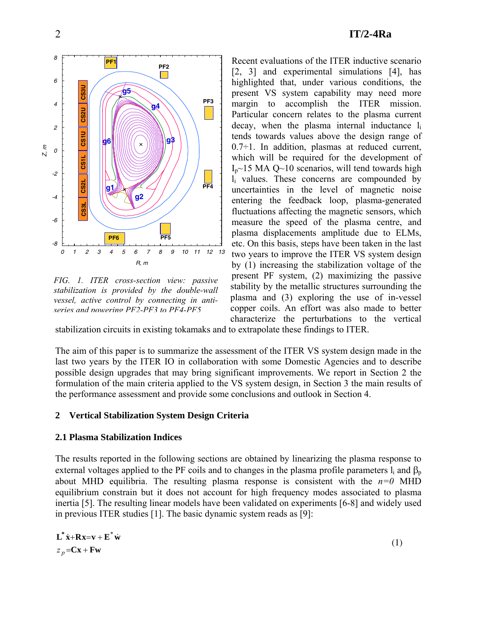

*FIG. 1. ITER cross-section view: passive stabilization is provided by the double-wall vessel, active control by connecting in antiseries and powering PF2-PF3 to PF4-PF5*

Recent evaluations of the ITER inductive scenario [2, 3] and experimental simulations [4], has highlighted that, under various conditions, the present VS system capability may need more margin to accomplish the ITER mission. Particular concern relates to the plasma current decay, when the plasma internal inductance li tends towards values above the design range of  $0.7\div 1$ . In addition, plasmas at reduced current, which will be required for the development of  $I_n \sim 15$  MA Q $\sim 10$  scenarios, will tend towards high  $l_i$  values. These concerns are compounded by uncertainties in the level of magnetic noise entering the feedback loop, plasma-generated fluctuations affecting the magnetic sensors, which measure the speed of the plasma centre, and plasma displacements amplitude due to ELMs, etc. On this basis, steps have been taken in the last two years to improve the ITER VS system design by (1) increasing the stabilization voltage of the present PF system, (2) maximizing the passive stability by the metallic structures surrounding the plasma and (3) exploring the use of in-vessel copper coils. An effort was also made to better characterize the perturbations to the vertical

stabilization circuits in existing tokamaks and to extrapolate th ese findings to ITER.

The aim of this paper is to summarize the assessment of the ITER VS system design made in the last two years by the ITER IO in collaboration with some Domestic Agencies and to describe possible design upgrades that may bring significant improvements. We report in Section 2 the formulation of the main criteria applied to the VS system design, in Section 3 the main results of the performance assessment and provide some conclusions and outlook in Section 4.

### **2 Vertical Stabilization System Design Criteria**

### **2.1 Plasma Stabilization Indices**

The results reported in the following sections are obtained by linearizing the plasma response to external voltages applied to the PF coils and to changes in the plasma profile parameters  $l_i$  and  $\beta_p$ about MHD equilibria. The resulting plasma response is consistent with the  $n=0$  MHD equilibrium constrain but it does not account for high frequency modes associated to plasma inertia [5]. The resulting linear models have been validated on experiments [6-8] and widely used in previous ITER studies [1]. The basic dynamic system reads as [9]:

$$
\mathbf{L}^* \dot{\mathbf{x}} + \mathbf{R} \mathbf{x} = \mathbf{v} + \mathbf{E}^* \dot{\mathbf{w}}
$$
  
\n
$$
z_p = \mathbf{C} \mathbf{x} + \mathbf{F} \mathbf{w}
$$
 (1)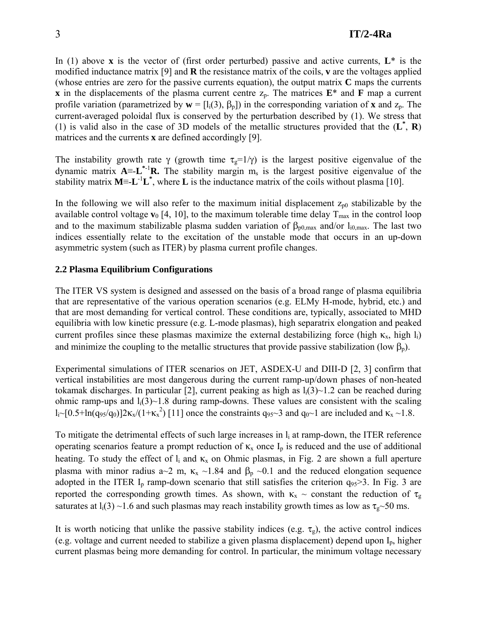In (1) above **x** is the vector of (first order perturbed) passive and active currents,  $L^*$  is the modified inductance matrix [9] and **R** the resistance matrix of the coils, **v** are the voltages applied (whose entries are zero for the passive currents equation), the output matrix **C** maps the currents **x** in the displacements of the plasma current centre  $z_p$ . The matrices  $\mathbf{E}^*$  and **F** map a current profile variation (parametrized by  $\mathbf{w} = [l_i(3), \beta_p]$ ) in the corresponding variation of **x** and  $z_p$ . The current-averaged poloidal flux is conserved by the perturbation described by (1). We stress that (1) is valid also in the case of 3D models of the metallic structures provided that the (**L\*** , **R**) matrices and the currents **x** are defined accordingly [9].

The instability growth rate  $\gamma$  (growth time  $\tau_g=1/\gamma$ ) is the largest positive eigenvalue of the dynamic matrix  $A = L^{*1}R$ . The stability margin m<sub>s</sub> is the largest positive eigenvalue of the stability matrix  $M = L^{-1}L^*$ , where L is the inductance matrix of the coils without plasma [10].

In the following we will also refer to the maximum initial displacement  $z_{p0}$  stabilizable by the available control voltage  $\mathbf{v}_0$  [4, 10], to the maximum tolerable time delay  $T_{\text{max}}$  in the control loop and to the maximum stabilizable plasma sudden variation of  $\beta_{p0,max}$  and/or  $l_{i0,max}$ . The last two indices essentially relate to the excitation of the unstable mode that occurs in an up-down asymmetric system (such as ITER) by plasma current profile changes.

## **2.2 Plasma Equilibrium Configurations**

The ITER VS system is designed and assessed on the basis of a broad range of plasma equilibria that are representative of the various operation scenarios (e.g. ELMy H-mode, hybrid, etc.) and that are most demanding for vertical control. These conditions are, typically, associated to MHD equilibria with low kinetic pressure (e.g. L-mode plasmas), high separatrix elongation and peaked current profiles since these plasmas maximize the external destabilizing force (high  $\kappa_{x}$ , high l<sub>i</sub>) and minimize the coupling to the metallic structures that provide passive stabilization (low  $\beta_p$ ).

Experimental simulations of ITER scenarios on JET, ASDEX-U and DIII-D [2, 3] confirm that vertical instabilities are most dangerous during the current ramp-up/down phases of non-heated tokamak discharges. In particular [2], current peaking as high as  $l_i(3)$  – 1.2 can be reached during ohmic ramp-ups and  $l_i(3)$  -1.8 during ramp-downs. These values are consistent with the scaling  $l_i \sim [0.5 + ln(q_{95}/q_0)]2\kappa_x/(1+\kappa_x^2)$  [11] once the constraints  $q_{95} \sim 3$  and  $q_0 \sim 1$  are included and  $\kappa_x \sim 1.8$ .

To mitigate the detrimental effects of such large increases in  $l_i$  at ramp-down, the ITER reference operating scenarios feature a prompt reduction of  $\kappa_x$  once  $I_p$  is reduced and the use of additional heating. To study the effect of  $l_i$  and  $\kappa_x$  on Ohmic plasmas, in Fig. 2 are shown a full aperture plasma with minor radius a~2 m,  $\kappa_x \sim 1.84$  and  $\beta_p \sim 0.1$  and the reduced elongation sequence adopted in the ITER  $I_p$  ramp-down scenario that still satisfies the criterion  $q_{95} > 3$ . In Fig. 3 are reported the corresponding growth times. As shown, with  $\kappa_x \sim$  constant the reduction of  $\tau_g$ saturates at  $l_i(3) \sim 1.6$  and such plasmas may reach instability growth times as low as  $\tau_g \sim 50$  ms.

It is worth noticing that unlike the passive stability indices (e.g.  $\tau_{g}$ ), the active control indices (e.g. voltage and current needed to stabilize a given plasma displacement) depend upon  $I_p$ , higher current plasmas being more demanding for control. In particular, the minimum voltage necessary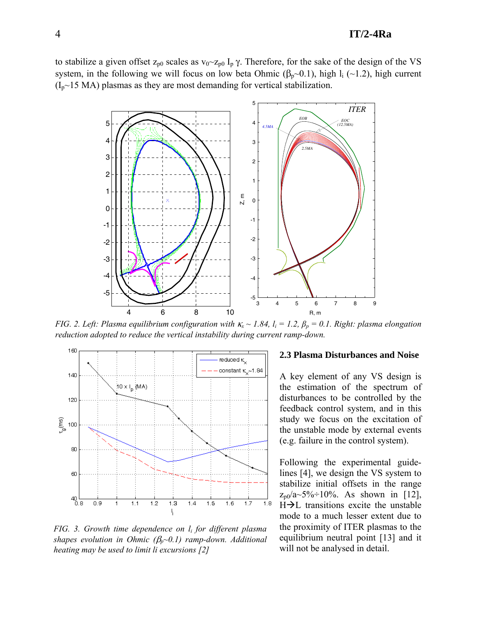### 4 **IT/2-4Ra**

to stabilize a given offset  $z_{p0}$  scales as  $v_0 \sim z_{p0} I_p \gamma$ . Therefore, for the sake of the design of the VS system, in the following we will focus on low beta Ohmic ( $\beta_p \sim 0.1$ ), high l<sub>i</sub> (~1.2), high current  $(I_p \sim 15 \text{ MA})$  plasmas as they are most demanding for vertical stabilization.



*FIG. 2. Left: Plasma equilibrium configuration with*  $\kappa_x \sim 1.84$ ,  $l_i = 1.2$ ,  $\beta_p = 0.1$ . Right: plasma elongation *reduction adopted to reduce the vertical instability during current ramp-down.* 



*FIG. 3. Growth time dependence on li for different plasma shapes evolution in Ohmic (*β*p~0.1) ramp-down. Additional heating may be used to limit li excursions [2]* 

#### **2.3 Plasma Disturbances and Noise**

A key element of any VS design is the estimation of the spectrum of disturbances to be controlled by the feedback control system, and in this study we focus on the excitation of the unstable mode by external events (e.g. failure in the control system).

Following the experimental guidelines [4], we design the VS system to stabilize initial offsets in the range  $z_{p0}/a \sim 5\% \div 10\%$ . As shown in [12],  $H\rightarrow L$  transitions excite the unstable mode to a much lesser extent due to the proximity of ITER plasmas to the equilibrium neutral point [13] and it will not be analysed in detail.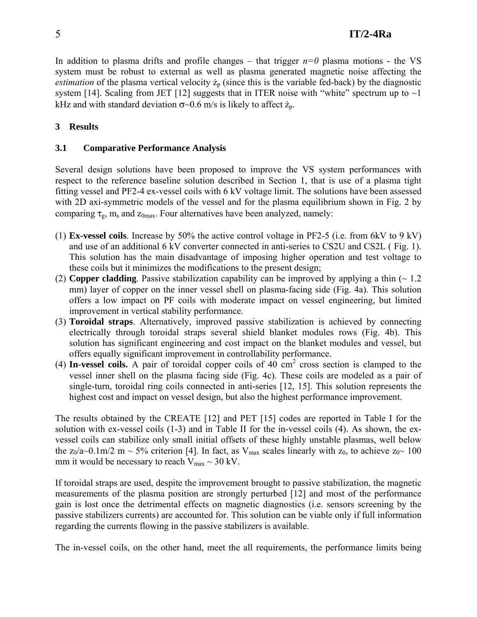In addition to plasma drifts and profile changes – that trigger  $n=0$  plasma motions - the VS system must be robust to external as well as plasma generated magnetic noise affecting the *estimation* of the plasma vertical velocity  $\dot{z}_p$  (since this is the variable fed-back) by the diagnostic system [14]. Scaling from JET [12] suggests that in ITER noise with "white" spectrum up to  $\sim$ 1 kHz and with standard deviation  $\sigma$ ~0.6 m/s is likely to affect  $\dot{z}_p$ .

## **3 Results**

## **3.1 Comparative Performance Analysis**

Several design solutions have been proposed to improve the VS system performances with respect to the reference baseline solution described in Section 1, that is use of a plasma tight fitting vessel and PF2-4 ex-vessel coils with 6 kV voltage limit. The solutions have been assessed with 2D axi-symmetric models of the vessel and for the plasma equilibrium shown in Fig. 2 by comparing  $\tau_{g}$ , m<sub>s</sub> and  $z_{0max}$ . Four alternatives have been analyzed, namely:

- (1) **Ex-vessel coils**. Increase by 50% the active control voltage in PF2-5 (i.e. from 6kV to 9 kV) and use of an additional 6 kV converter connected in anti-series to CS2U and CS2L ( Fig. 1). This solution has the main disadvantage of imposing higher operation and test voltage to these coils but it minimizes the modifications to the present design;
- (2) **Copper cladding**. Passive stabilization capability can be improved by applying a thin  $($   $\sim$  1.2 mm) layer of copper on the inner vessel shell on plasma-facing side (Fig. 4a). This solution offers a low impact on PF coils with moderate impact on vessel engineering, but limited improvement in vertical stability performance.
- (3) **Toroidal straps**. Alternatively, improved passive stabilization is achieved by connecting electrically through toroidal straps several shield blanket modules rows (Fig. 4b). This solution has significant engineering and cost impact on the blanket modules and vessel, but offers equally significant improvement in controllability performance.
- $(4)$  In-vessel coils. A pair of toroidal copper coils of  $40 \text{ cm}^2$  cross section is clamped to the vessel inner shell on the plasma facing side (Fig. 4c). These coils are modeled as a pair of single-turn, toroidal ring coils connected in anti-series [12, 15]. This solution represents the highest cost and impact on vessel design, but also the highest performance improvement.

The results obtained by the CREATE [12] and PET [15] codes are reported in Table I for the solution with ex-vessel coils (1-3) and in Table II for the in-vessel coils (4). As shown, the exvessel coils can stabilize only small initial offsets of these highly unstable plasmas, well below the z<sub>0</sub>/a~0.1m/2 m ~ 5% criterion [4]. In fact, as V<sub>max</sub> scales linearly with z<sub>0</sub>, to achieve z<sub>0</sub>~ 100 mm it would be necessary to reach  $V_{max} \sim 30$  kV.

If toroidal straps are used, despite the improvement brought to passive stabilization, the magnetic measurements of the plasma position are strongly perturbed [12] and most of the performance gain is lost once the detrimental effects on magnetic diagnostics (i.e. sensors screening by the passive stabilizers currents) are accounted for. This solution can be viable only if full information regarding the currents flowing in the passive stabilizers is available.

The in-vessel coils, on the other hand, meet the all requirements, the performance limits being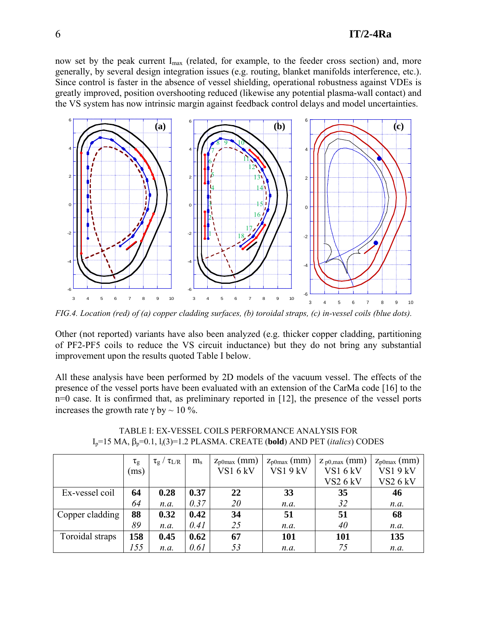now set by the peak current I<sub>max</sub> (related, for example, to the feeder cross section) and, more generally, by several design integration issues (e.g. routing, blanket manifolds interference, etc.). Since control is faster in the absence of vessel shielding, operational robustness against VDEs is greatly improved, position overshooting reduced (likewise any potential plasma-wall contact) and the VS system has now intrinsic margin against feedback control delays and model uncertainties.



*FIG.4. Location (red) of (a) copper cladding surfaces, (b) toroidal straps, (c) in-vessel coils (blue dots).* 

Other (not reported) variants have also been analyzed (e.g. thicker copper cladding, partitioning of PF2-PF5 coils to reduce the VS circuit inductance) but they do not bring any substantial improvement upon the results quoted Table I below.

All these analysis have been performed by 2D models of the vacuum vessel. The effects of the presence of the vessel ports have been evaluated with an extension of the CarMa code [16] to the n=0 case. It is confirmed that, as preliminary reported in [12], the presence of the vessel ports increases the growth rate  $\gamma$  by  $\sim$  10 %.

|                 | $\tau_{\rm g}$ | $\tau_{\rm L/R}$<br>$\tau_{\rm g}$ | $m_{\rm s}$ | $z_{\text{p0max}}$ (mm) | $z_{\text{p0max}}$ (mm) | $Z_{p0,max}$ (mm) | $z_{\text{p0max}}$ (mm) |
|-----------------|----------------|------------------------------------|-------------|-------------------------|-------------------------|-------------------|-------------------------|
|                 | (ms)           |                                    |             | VS16kV                  | VS19kV                  | VS16kV            | VS1 9 kV                |
|                 |                |                                    |             |                         |                         | <b>VS2 6 kV</b>   | <b>VS2 6 kV</b>         |
| Ex-vessel coil  | 64             | 0.28                               | 0.37        | 22                      | 33                      | 35                | 46                      |
|                 | 64             | n.a.                               | 0.37        | 20                      | n.a.                    | 32                | n.a.                    |
| Copper cladding | 88             | 0.32                               | 0.42        | 34                      | 51                      | 51                | 68                      |
|                 | 89             | n.a.                               | 0.41        | 25                      | n.a.                    | 40                | n.a.                    |
| Toroidal straps | 158            | 0.45                               | 0.62        | 67                      | 101                     | 101               | 135                     |
|                 | 155            | n.a.                               | 0.61        | 53                      | n.a.                    | 75                | n.a.                    |

TABLE I: EX-VESSEL COILS PERFORMANCE ANALYSIS FOR Ip=15 MA, βp=0.1, li(3)=1.2 PLASMA. CREATE (**bold**) AND PET (*italics*) CODES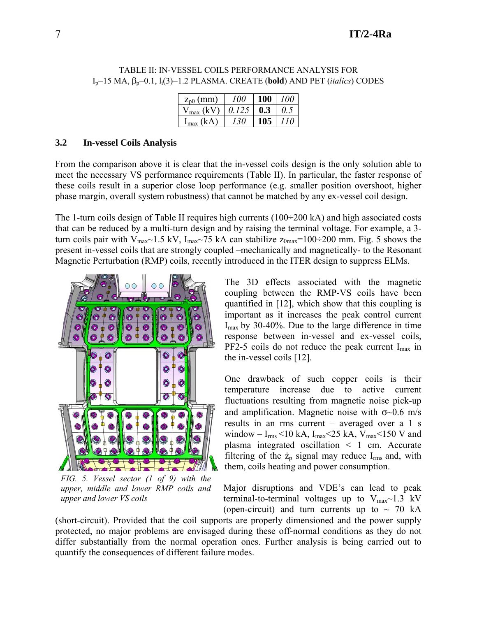|                                                                   |  | $I_p=15$ MA, $\beta_p=0.1$ , $I_i(3)=1.2$ PLASMA. CREATE (bold) AND PET ( <i>italics</i> ) CODES |
|-------------------------------------------------------------------|--|--------------------------------------------------------------------------------------------------|
| $\vert$ $z_{p0}$ (mm) $\vert$ $100 \vert$ $100 \vert$ $100 \vert$ |  |                                                                                                  |

TABLE II: IN-VESSEL COILS PERFORMANCE ANALYSIS FOR

| $z_{p0}$ (mm)          | 100   | <b>100</b> | 100                 |
|------------------------|-------|------------|---------------------|
| $V_{\text{max}}$ (kV). | 0.125 | 0.3        | $^{\prime\prime}$ 5 |
| $I_{\text{max}}$ (kA)  | 130   | 105        | 110                 |

### **3.2 In-vessel Coils Analysis**

From the comparison above it is clear that the in-vessel coils design is the only solution able to meet the necessary VS performance requirements (Table II). In particular, the faster response of these coils result in a superior close loop performance (e.g. smaller position overshoot, higher phase margin, overall system robustness) that cannot be matched by any ex-vessel coil design.

The 1-turn coils design of Table II requires high currents  $(100\div 200 \text{ kA})$  and high associated costs that can be reduced by a multi-turn design and by raising the terminal voltage. For example, a 3 turn coils pair with  $V_{\text{max}}$  1.5 kV, I<sub>max</sub> - 75 kA can stabilize  $z_{\text{0max}}$ =100÷200 mm. Fig. 5 shows the present in-vessel coils that are strongly coupled –mechanically and magnetically- to the Resonant Magnetic Perturbation (RMP) coils, recently introduced in the ITER design to suppress ELMs.



*FIG. 5. Vessel sector (1 of 9) with the upper, middle and lower RMP coils and upper and lower VS coils* 

The 3D effects associated with the magnetic coupling between the RMP-VS coils have been quantified in [12], which show that this coupling is important as it increases the peak control current  $I_{\text{max}}$  by 30-40%. Due to the large difference in time response between in-vessel and ex-vessel coils,  $PF2-5$  coils do not reduce the peak current  $I_{max}$  in the in-vessel coils [12].

One drawback of such copper coils is their temperature increase due to active current fluctuations resulting from magnetic noise pick-up and amplification. Magnetic noise with  $\sigma$ ~0.6 m/s results in an rms current – averaged over a 1 s window –  $I_{rms}$ <10 kA,  $I_{max}$ <25 kA,  $V_{max}$ <150 V and plasma integrated oscillation < 1 cm. Accurate filtering of the  $\dot{z}_p$  signal may reduce I<sub>rms</sub> and, with them, coils heating and power consumption.

Major disruptions and VDE's can lead to peak terminal-to-terminal voltages up to  $V_{\text{max}}$  1.3 kV (open-circuit) and turn currents up to  $\sim$  70 kA

(short-circuit). Provided that the coil supports are properly dimensioned and the power supply protected, no major problems are envisaged during these off-normal conditions as they do not differ substantially from the normal operation ones. Further analysis is being carried out to quantify the consequences of different failure modes.